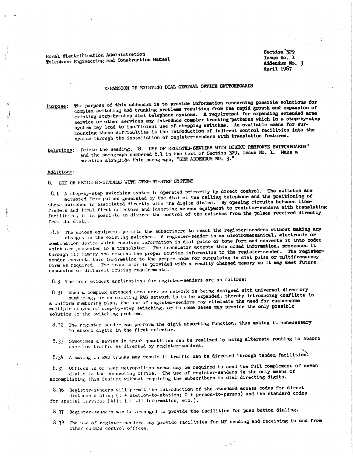Rural Electrification Administration Telephone Engineering and Construction Mamual Section 329 Issue No. 1 Addendum No. 3 **April 1967** 

## EXPANSION OF EXISTING DIAL CERTRAL OFFICE SWITCHBOARDS

The purpose of this addendum is to provide information concerning possible solutions for complex switching and trunking problems resulting from the rapid growth and expansion of Purpose: existing step-by-step dial telephone systems. A requirement for expanding extended area service or other services may introduce complex trunking patterns which in a step-by-step system may lead to inefficient use of stepping switches. An available means for surmounting these difficulties is the introduction of indirect control facilities into the system through the installation of register-senders with translation features.

Deletions: Delete the heading, "8. USE OF REGISTER-SENDERS WITH DIRECT RESPONSE SWITCHBOARDS" and the paragraph numbered 8.1 in the text of Section 329, Issue No. 1. Make a notation alongside this paragraph, "SEE ADDENDUM NO. 3."

## Additions:

8. USE OF RECISTER-SENDERS WITH STEP-BY-STEP SYSTEMS

8.1 A step-by-step switching system is operated primarily by direct control. The switches are actuated from pulses generated by the dial at the calling telephone and the positioning of these switches is associated directly with the digits dialed. By opening circuits between linefinders and local first selectors and inserting access equipment to register-senders with translating facilities, it is possible to divorce the control of the switches from the pulses received directly from the dial.

8.2 The access equipment permits the subscribers to reach the register-senders without making any changes in the existing switches. A register-sender is an electromechanical, electronic or combination device which receives information in dial pulse or tone form and converts it into codes which are presented to a translator. The translator accepts this coded information, processes it through its memory and returns the proper routing information to the register-sender. The registersender converts this information to the proper mode for outpulsing in dial pulse or multifrequency form as required. The translator is provided with a readily changed memory so it may meet future expansion or different routing requirements.

8.3 The more evident applications for register-senders are as follows:

8.31 When a complex extended area service network is being designed with universal directory numbering, or an existing EAS network is to be expanded, thereby introducing conflicts in

a uniform mumbering plan, the use of register-senders may eliminate the need for cumbersome multiple stages of step-by-step switching, or in some cases may provide the only possible solution to the switching problem.

8.32 The register-sender can perform the digit absorbing function, thus making it unnecessary to absorb digits in the first selector.

6.33 Sometimes a saving in trunk quantities can be realized by using alternate routing to absorb overflow traffic as directed by register-senders.

8.34 A saving in EAS trunks may result if traffic can be directed through tandem facilities.

8.35 Offices in or near metropolitan areas may be required to send the full complement of seven digite to the connecting office. The use of register-senders is the only means of accomplishing this feature without requiring the subscribers to dial directing digits.

8.36 Register-senders will permit the introduction of the standard access codes for direct distance dialing (1 + station-to-station; 0 + person-to-person) and the standard codes for special services (411;  $1 + 411$  information; etc.).

8.37 Register-senders may be arranged to provide the facilities for push button dialing.

8.38 The use of register-senders may provide facilities for MF sending and receiving to and from other common control offices.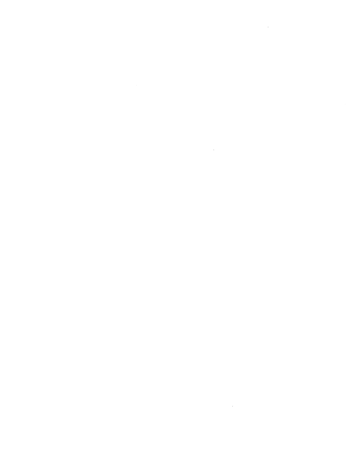$\label{eq:2.1} \frac{1}{\sqrt{2}}\left(\frac{1}{\sqrt{2}}\right)^{2} \left(\frac{1}{\sqrt{2}}\right)^{2} \left(\frac{1}{\sqrt{2}}\right)^{2} \left(\frac{1}{\sqrt{2}}\right)^{2} \left(\frac{1}{\sqrt{2}}\right)^{2} \left(\frac{1}{\sqrt{2}}\right)^{2} \left(\frac{1}{\sqrt{2}}\right)^{2} \left(\frac{1}{\sqrt{2}}\right)^{2} \left(\frac{1}{\sqrt{2}}\right)^{2} \left(\frac{1}{\sqrt{2}}\right)^{2} \left(\frac{1}{\sqrt{2}}\right)^{2} \left(\$  $\label{eq:2.1} \mathcal{L} = \mathcal{L} \left( \frac{1}{\sqrt{2}} \sum_{i=1}^n \frac{1}{\sqrt{2}} \sum_{j=1}^n \frac{1}{\sqrt{2}} \sum_{i=1}^n \frac{1}{\sqrt{2}} \sum_{j=1}^n \frac{1}{\sqrt{2}} \sum_{j=1}^n \frac{1}{\sqrt{2}} \sum_{j=1}^n \frac{1}{\sqrt{2}} \sum_{j=1}^n \frac{1}{\sqrt{2}} \sum_{j=1}^n \frac{1}{\sqrt{2}} \sum_{j=1}^n \frac{1}{\sqrt{2}} \sum_{j=1}^n \frac{1}{$  $\label{eq:2.1} \frac{1}{\sqrt{2}}\left(\frac{1}{\sqrt{2}}\right)^{2} \left(\frac{1}{\sqrt{2}}\right)^{2} \left(\frac{1}{\sqrt{2}}\right)^{2} \left(\frac{1}{\sqrt{2}}\right)^{2} \left(\frac{1}{\sqrt{2}}\right)^{2} \left(\frac{1}{\sqrt{2}}\right)^{2} \left(\frac{1}{\sqrt{2}}\right)^{2} \left(\frac{1}{\sqrt{2}}\right)^{2} \left(\frac{1}{\sqrt{2}}\right)^{2} \left(\frac{1}{\sqrt{2}}\right)^{2} \left(\frac{1}{\sqrt{2}}\right)^{2} \left(\$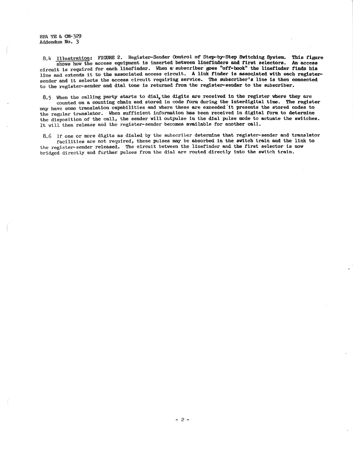REA TE & CM-329 Addendum No. 3

8.4 Illustration: FIGURE 2. Register-Sender Control of Step-by-Step Switching System. This figure shows how the access equipment is inserted between linefinders and first selectors. An access circuit is required for each linefinder. When a subscriber goes "off-hook" the linefinder finds his line and extends it to the associated access circuit. A link finder is associated with each registersender and it selects the access circuit requiring service. The subscriber's line is then connected to the register-sender and dial tone is returned from the register-sender to the subscriber.

 $8.5$  When the calling party starts to dial, the digits are received in the register where they are

counted on a counting chain and stored in code form during the interdigital time. The register may have some translation capabilities and where these are exceeded it presents the stored codes to the regular translator. When sufficient information has been received in digital form to determine the disposition of the call, the sender will outpulse in the dial pulse mode to actuate the switches. It will then release and the register-sender becomes available for another call.

8.6 If one or more digits as dialed by the subscriber determine that register-sender and translator facilities are not required, these pulses may be absorbed in the switch train and the link to the register-sender released. The circuit between the linefinder and the first selector is now bridged directly and further pulses from the dial are routed directly into the switch train.